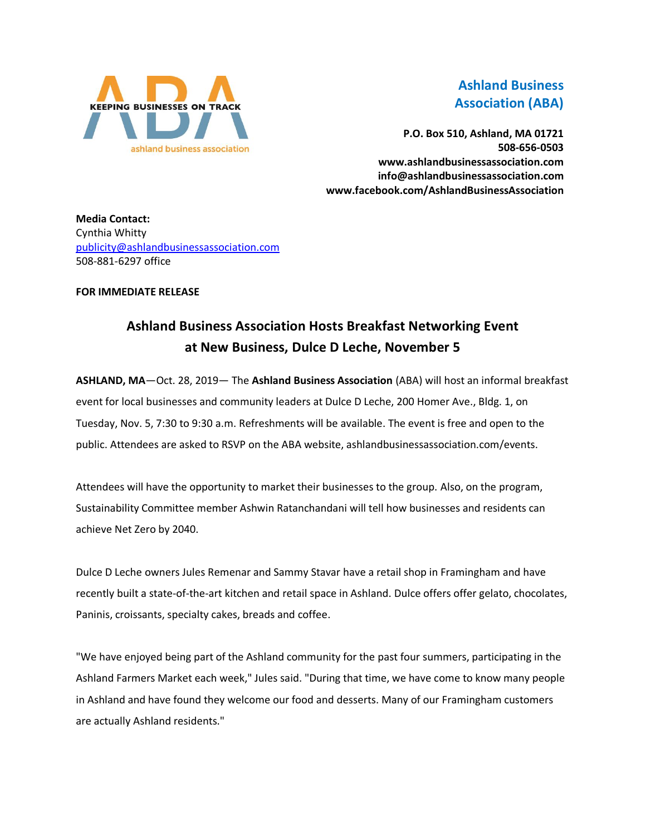

## **Ashland Business Association (ABA)**

**P.O. Box 510, Ashland, MA 01721 508-656-0503 www.ashlandbusinessassociation.com info@ashlandbusinessassociation.com www.facebook.com/AshlandBusinessAssociation**

**Media Contact:** Cynthia Whitty [publicity@ashlandbusinessassociation.com](mailto:publicity@ashlandbusinessassociation.com) 508-881-6297 office

## **FOR IMMEDIATE RELEASE**

## **Ashland Business Association Hosts Breakfast Networking Event at New Business, Dulce D Leche, November 5**

**ASHLAND, MA**—Oct. 28, 2019— The **Ashland Business Association** (ABA) will host an informal breakfast event for local businesses and community leaders at Dulce D Leche, 200 Homer Ave., Bldg. 1, on Tuesday, Nov. 5, 7:30 to 9:30 a.m. Refreshments will be available. The event is free and open to the public. Attendees are asked to RSVP on the ABA website, ashlandbusinessassociation.com/events.

Attendees will have the opportunity to market their businesses to the group. Also, on the program, Sustainability Committee member Ashwin Ratanchandani will tell how businesses and residents can achieve Net Zero by 2040.

Dulce D Leche owners Jules Remenar and Sammy Stavar have a retail shop in Framingham and have recently built a state-of-the-art kitchen and retail space in Ashland. Dulce offers offer gelato, chocolates, Paninis, croissants, specialty cakes, breads and coffee.

"We have enjoyed being part of the Ashland community for the past four summers, participating in the Ashland Farmers Market each week," Jules said. "During that time, we have come to know many people in Ashland and have found they welcome our food and desserts. Many of our Framingham customers are actually Ashland residents."